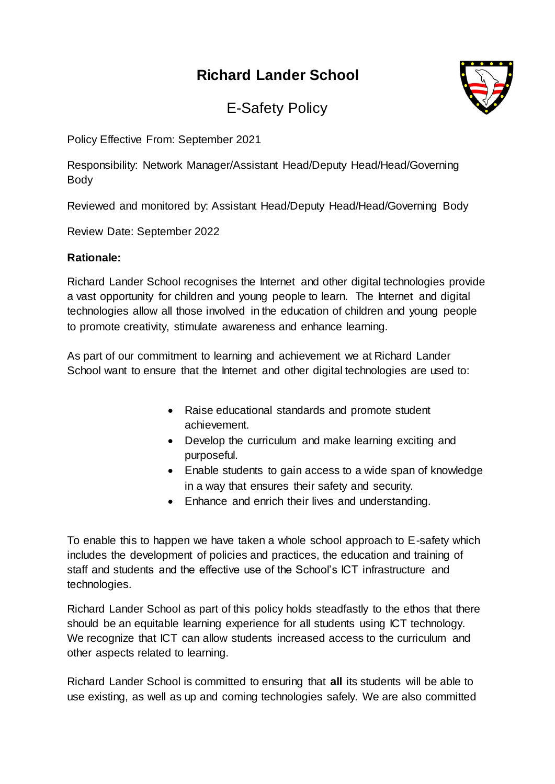# **Richard Lander School**



E-Safety Policy

Policy Effective From: September 2021

Responsibility: Network Manager/Assistant Head/Deputy Head/Head/Governing Body

Reviewed and monitored by: Assistant Head/Deputy Head/Head/Governing Body

Review Date: September 2022

#### **Rationale:**

Richard Lander School recognises the Internet and other digital technologies provide a vast opportunity for children and young people to learn. The Internet and digital technologies allow all those involved in the education of children and young people to promote creativity, stimulate awareness and enhance learning.

As part of our commitment to learning and achievement we at Richard Lander School want to ensure that the Internet and other digital technologies are used to:

- Raise educational standards and promote student achievement.
- Develop the curriculum and make learning exciting and purposeful.
- Enable students to gain access to a wide span of knowledge in a way that ensures their safety and security.
- Enhance and enrich their lives and understanding.

To enable this to happen we have taken a whole school approach to E-safety which includes the development of policies and practices, the education and training of staff and students and the effective use of the School's ICT infrastructure and technologies.

Richard Lander School as part of this policy holds steadfastly to the ethos that there should be an equitable learning experience for all students using ICT technology. We recognize that ICT can allow students increased access to the curriculum and other aspects related to learning.

Richard Lander School is committed to ensuring that **all** its students will be able to use existing, as well as up and coming technologies safely. We are also committed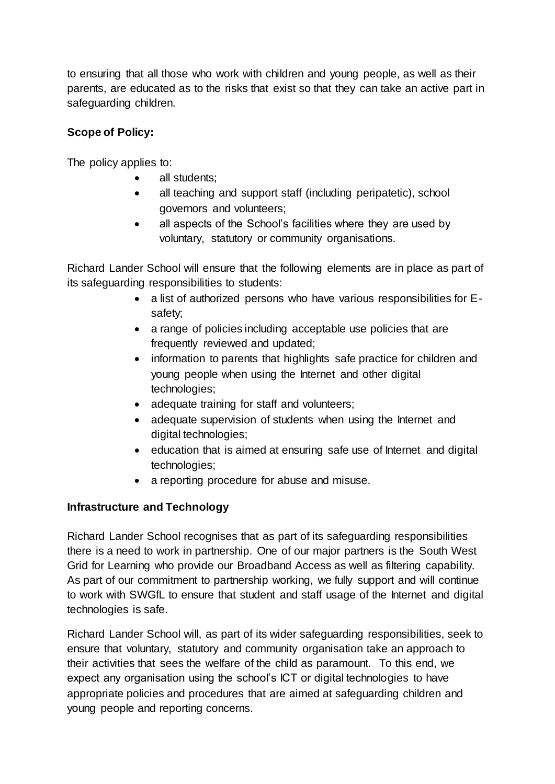to ensuring that all those who work with children and young people, as well as their parents, are educated as to the risks that exist so that they can take an active part in safeguarding children.

### **Scope of Policy:**

The policy applies to:

- all students;
- all teaching and support staff (including peripatetic), school governors and volunteers;
- all aspects of the School's facilities where they are used by voluntary, statutory or community organisations.

Richard Lander School will ensure that the following elements are in place as part of its safeguarding responsibilities to students:

- a list of authorized persons who have various responsibilities for Esafety;
- a range of policies including acceptable use policies that are frequently reviewed and updated;
- information to parents that highlights safe practice for children and young people when using the Internet and other digital technologies;
- adequate training for staff and volunteers;
- adequate supervision of students when using the Internet and digital technologies;
- education that is aimed at ensuring safe use of Internet and digital technologies;
- a reporting procedure for abuse and misuse.

#### **Infrastructure and Technology**

Richard Lander School recognises that as part of its safeguarding responsibilities there is a need to work in partnership. One of our major partners is the South West Grid for Learning who provide our Broadband Access as well as filtering capability. As part of our commitment to partnership working, we fully support and will continue to work with SWGfL to ensure that student and staff usage of the Internet and digital technologies is safe.

Richard Lander School will, as part of its wider safeguarding responsibilities, seek to ensure that voluntary, statutory and community organisation take an approach to their activities that sees the welfare of the child as paramount. To this end, we expect any organisation using the school's ICT or digital technologies to have appropriate policies and procedures that are aimed at safeguarding children and young people and reporting concerns.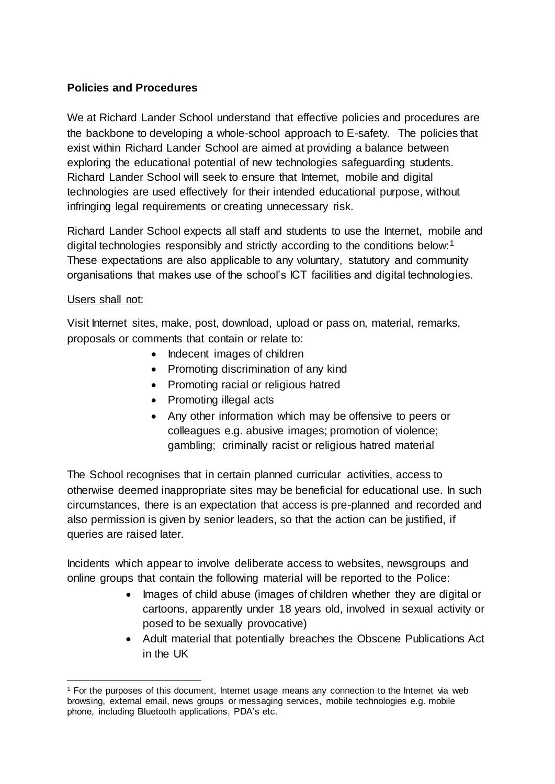### **Policies and Procedures**

We at Richard Lander School understand that effective policies and procedures are the backbone to developing a whole-school approach to E-safety. The policies that exist within Richard Lander School are aimed at providing a balance between exploring the educational potential of new technologies safeguarding students. Richard Lander School will seek to ensure that Internet, mobile and digital technologies are used effectively for their intended educational purpose, without infringing legal requirements or creating unnecessary risk.

Richard Lander School expects all staff and students to use the Internet, mobile and digital technologies responsibly and strictly according to the conditions below:<sup>1</sup> These expectations are also applicable to any voluntary, statutory and community organisations that makes use of the school's ICT facilities and digital technologies.

#### Users shall not:

Visit Internet sites, make, post, download, upload or pass on, material, remarks, proposals or comments that contain or relate to:

- Indecent images of children
- Promoting discrimination of any kind
- Promoting racial or religious hatred
- Promoting illegal acts
- Any other information which may be offensive to peers or colleagues e.g. abusive images; promotion of violence; gambling; criminally racist or religious hatred material

The School recognises that in certain planned curricular activities, access to otherwise deemed inappropriate sites may be beneficial for educational use. In such circumstances, there is an expectation that access is pre-planned and recorded and also permission is given by senior leaders, so that the action can be justified, if queries are raised later.

Incidents which appear to involve deliberate access to websites, newsgroups and online groups that contain the following material will be reported to the Police:

- Images of child abuse (images of children whether they are digital or cartoons, apparently under 18 years old, involved in sexual activity or posed to be sexually provocative)
- Adult material that potentially breaches the Obscene Publications Act in the UK

 $\overline{a}$ <sup>1</sup> For the purposes of this document, Internet usage means any connection to the Internet via web browsing, external email, news groups or messaging services, mobile technologies e.g. mobile phone, including Bluetooth applications, PDA's etc.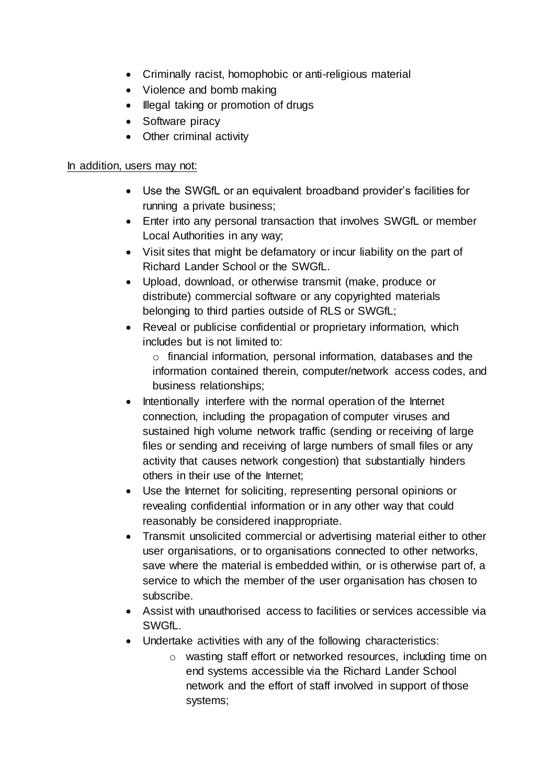- Criminally racist, homophobic or anti-religious material
- Violence and bomb making
- Illegal taking or promotion of drugs
- Software piracy
- Other criminal activity

### In addition, users may not:

- Use the SWGfL or an equivalent broadband provider's facilities for running a private business;
- Enter into any personal transaction that involves SWGfL or member Local Authorities in any way;
- Visit sites that might be defamatory or incur liability on the part of Richard Lander School or the SWGfL.
- Upload, download, or otherwise transmit (make, produce or distribute) commercial software or any copyrighted materials belonging to third parties outside of RLS or SWGfL;
- Reveal or publicise confidential or proprietary information, which includes but is not limited to:

o financial information, personal information, databases and the information contained therein, computer/network access codes, and business relationships;

- Intentionally interfere with the normal operation of the Internet connection, including the propagation of computer viruses and sustained high volume network traffic (sending or receiving of large files or sending and receiving of large numbers of small files or any activity that causes network congestion) that substantially hinders others in their use of the Internet;
- Use the Internet for soliciting, representing personal opinions or revealing confidential information or in any other way that could reasonably be considered inappropriate.
- Transmit unsolicited commercial or advertising material either to other user organisations, or to organisations connected to other networks, save where the material is embedded within, or is otherwise part of, a service to which the member of the user organisation has chosen to subscribe.
- Assist with unauthorised access to facilities or services accessible via SWGfL.
- Undertake activities with any of the following characteristics:
	- o wasting staff effort or networked resources, including time on end systems accessible via the Richard Lander School network and the effort of staff involved in support of those systems;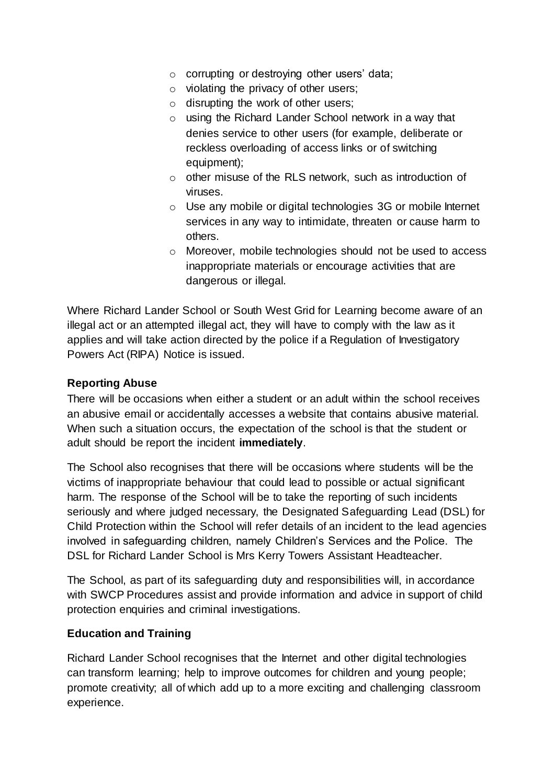- o corrupting or destroying other users' data;
- $\circ$  violating the privacy of other users;
- o disrupting the work of other users;
- o using the Richard Lander School network in a way that denies service to other users (for example, deliberate or reckless overloading of access links or of switching equipment);
- o other misuse of the RLS network, such as introduction of viruses.
- o Use any mobile or digital technologies 3G or mobile Internet services in any way to intimidate, threaten or cause harm to others.
- o Moreover, mobile technologies should not be used to access inappropriate materials or encourage activities that are dangerous or illegal.

Where Richard Lander School or South West Grid for Learning become aware of an illegal act or an attempted illegal act, they will have to comply with the law as it applies and will take action directed by the police if a Regulation of Investigatory Powers Act (RIPA) Notice is issued.

#### **Reporting Abuse**

There will be occasions when either a student or an adult within the school receives an abusive email or accidentally accesses a website that contains abusive material. When such a situation occurs, the expectation of the school is that the student or adult should be report the incident **immediately**.

The School also recognises that there will be occasions where students will be the victims of inappropriate behaviour that could lead to possible or actual significant harm. The response of the School will be to take the reporting of such incidents seriously and where judged necessary, the Designated Safeguarding Lead (DSL) for Child Protection within the School will refer details of an incident to the lead agencies involved in safeguarding children, namely Children's Services and the Police. The DSL for Richard Lander School is Mrs Kerry Towers Assistant Headteacher.

The School, as part of its safeguarding duty and responsibilities will, in accordance with SWCP Procedures assist and provide information and advice in support of child protection enquiries and criminal investigations.

#### **Education and Training**

Richard Lander School recognises that the Internet and other digital technologies can transform learning; help to improve outcomes for children and young people; promote creativity; all of which add up to a more exciting and challenging classroom experience.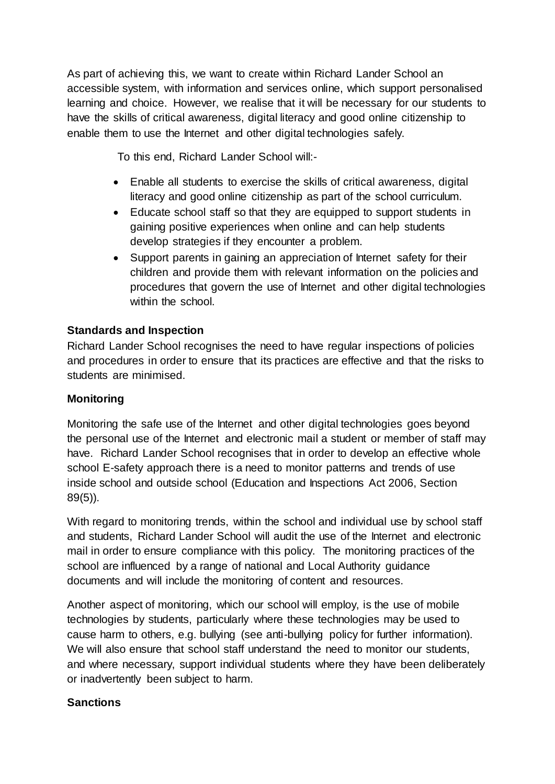As part of achieving this, we want to create within Richard Lander School an accessible system, with information and services online, which support personalised learning and choice. However, we realise that it will be necessary for our students to have the skills of critical awareness, digital literacy and good online citizenship to enable them to use the Internet and other digital technologies safely.

To this end, Richard Lander School will:-

- Enable all students to exercise the skills of critical awareness, digital literacy and good online citizenship as part of the school curriculum.
- Educate school staff so that they are equipped to support students in gaining positive experiences when online and can help students develop strategies if they encounter a problem.
- Support parents in gaining an appreciation of Internet safety for their children and provide them with relevant information on the policies and procedures that govern the use of Internet and other digital technologies within the school.

## **Standards and Inspection**

Richard Lander School recognises the need to have regular inspections of policies and procedures in order to ensure that its practices are effective and that the risks to students are minimised.

### **Monitoring**

Monitoring the safe use of the Internet and other digital technologies goes beyond the personal use of the Internet and electronic mail a student or member of staff may have. Richard Lander School recognises that in order to develop an effective whole school E-safety approach there is a need to monitor patterns and trends of use inside school and outside school (Education and Inspections Act 2006, Section 89(5)).

With regard to monitoring trends, within the school and individual use by school staff and students, Richard Lander School will audit the use of the Internet and electronic mail in order to ensure compliance with this policy. The monitoring practices of the school are influenced by a range of national and Local Authority guidance documents and will include the monitoring of content and resources.

Another aspect of monitoring, which our school will employ, is the use of mobile technologies by students, particularly where these technologies may be used to cause harm to others, e.g. bullying (see anti-bullying policy for further information). We will also ensure that school staff understand the need to monitor our students, and where necessary, support individual students where they have been deliberately or inadvertently been subject to harm.

#### **Sanctions**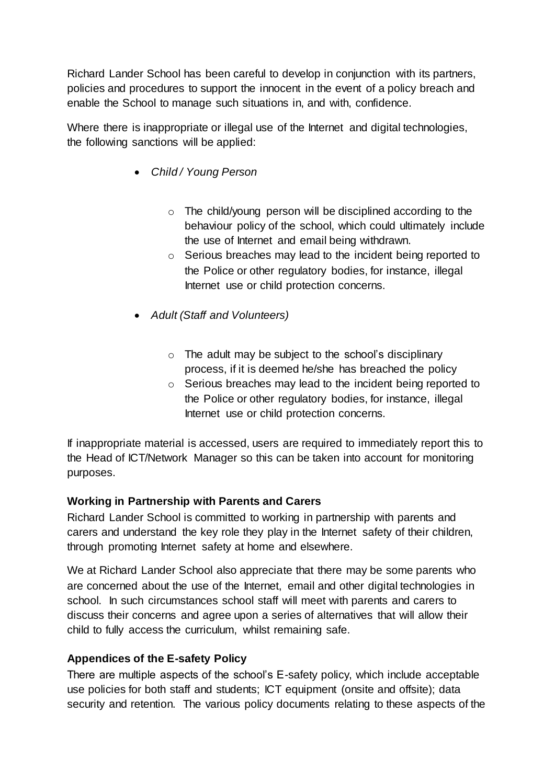Richard Lander School has been careful to develop in conjunction with its partners, policies and procedures to support the innocent in the event of a policy breach and enable the School to manage such situations in, and with, confidence.

Where there is inappropriate or illegal use of the Internet and digital technologies, the following sanctions will be applied:

- *Child / Young Person*
	- o The child/young person will be disciplined according to the behaviour policy of the school, which could ultimately include the use of Internet and email being withdrawn.
	- o Serious breaches may lead to the incident being reported to the Police or other regulatory bodies, for instance, illegal Internet use or child protection concerns.
- *Adult (Staff and Volunteers)*
	- o The adult may be subject to the school's disciplinary process, if it is deemed he/she has breached the policy
	- o Serious breaches may lead to the incident being reported to the Police or other regulatory bodies, for instance, illegal Internet use or child protection concerns.

If inappropriate material is accessed, users are required to immediately report this to the Head of ICT/Network Manager so this can be taken into account for monitoring purposes.

#### **Working in Partnership with Parents and Carers**

Richard Lander School is committed to working in partnership with parents and carers and understand the key role they play in the Internet safety of their children, through promoting Internet safety at home and elsewhere.

We at Richard Lander School also appreciate that there may be some parents who are concerned about the use of the Internet, email and other digital technologies in school. In such circumstances school staff will meet with parents and carers to discuss their concerns and agree upon a series of alternatives that will allow their child to fully access the curriculum, whilst remaining safe.

## **Appendices of the E-safety Policy**

There are multiple aspects of the school's E-safety policy, which include acceptable use policies for both staff and students; ICT equipment (onsite and offsite); data security and retention. The various policy documents relating to these aspects of the